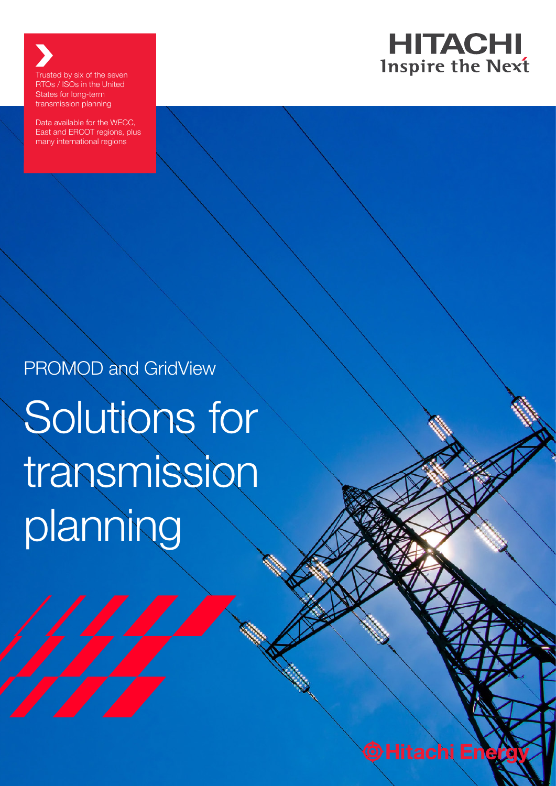

Trusted by six of the seven RTOs / ISOs in the United States for long-term transmission planning

Data available for the WECC, East and ERCOT regions, plus many international regions

PROMOD and GridView

Solutions for transmission planning

© Hitachi Energ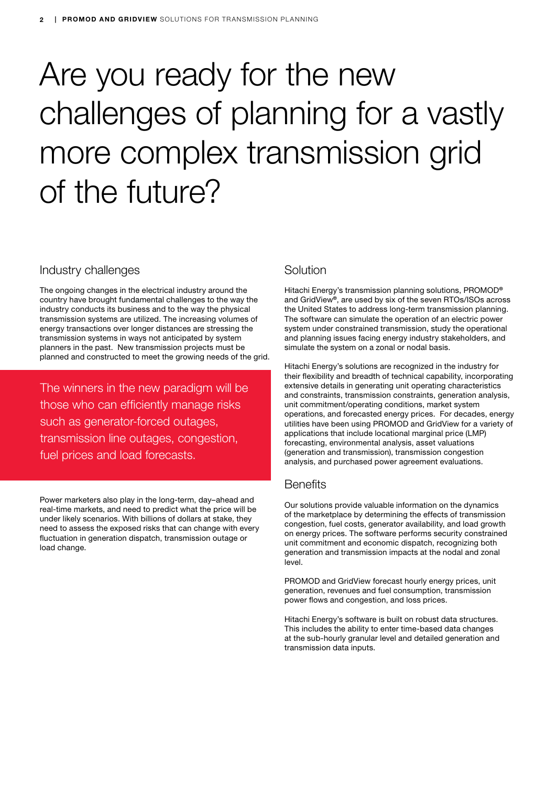# Are you ready for the new challenges of planning for a vastly more complex transmission grid of the future?

# Industry challenges

The ongoing changes in the electrical industry around the country have brought fundamental challenges to the way the industry conducts its business and to the way the physical transmission systems are utilized. The increasing volumes of energy transactions over longer distances are stressing the transmission systems in ways not anticipated by system planners in the past. New transmission projects must be planned and constructed to meet the growing needs of the grid.

The winners in the new paradigm will be those who can efficiently manage risks such as generator-forced outages, transmission line outages, congestion, fuel prices and load forecasts.

Power marketers also play in the long-term, day–ahead and real-time markets, and need to predict what the price will be under likely scenarios. With billions of dollars at stake, they need to assess the exposed risks that can change with every fluctuation in generation dispatch, transmission outage or load change.

# **Solution**

Hitachi Energy's transmission planning solutions, PROMOD® and GridView®, are used by six of the seven RTOs/ISOs across the United States to address long-term transmission planning. The software can simulate the operation of an electric power system under constrained transmission, study the operational and planning issues facing energy industry stakeholders, and simulate the system on a zonal or nodal basis.

Hitachi Energy's solutions are recognized in the industry for their flexibility and breadth of technical capability, incorporating extensive details in generating unit operating characteristics and constraints, transmission constraints, generation analysis, unit commitment/operating conditions, market system operations, and forecasted energy prices. For decades, energy utilities have been using PROMOD and GridView for a variety of applications that include locational marginal price (LMP) forecasting, environmental analysis, asset valuations (generation and transmission), transmission congestion analysis, and purchased power agreement evaluations.

# **Benefits**

Our solutions provide valuable information on the dynamics of the marketplace by determining the effects of transmission congestion, fuel costs, generator availability, and load growth on energy prices. The software performs security constrained unit commitment and economic dispatch, recognizing both generation and transmission impacts at the nodal and zonal level.

PROMOD and GridView forecast hourly energy prices, unit generation, revenues and fuel consumption, transmission power flows and congestion, and loss prices.

Hitachi Energy's software is built on robust data structures. This includes the ability to enter time-based data changes at the sub-hourly granular level and detailed generation and transmission data inputs.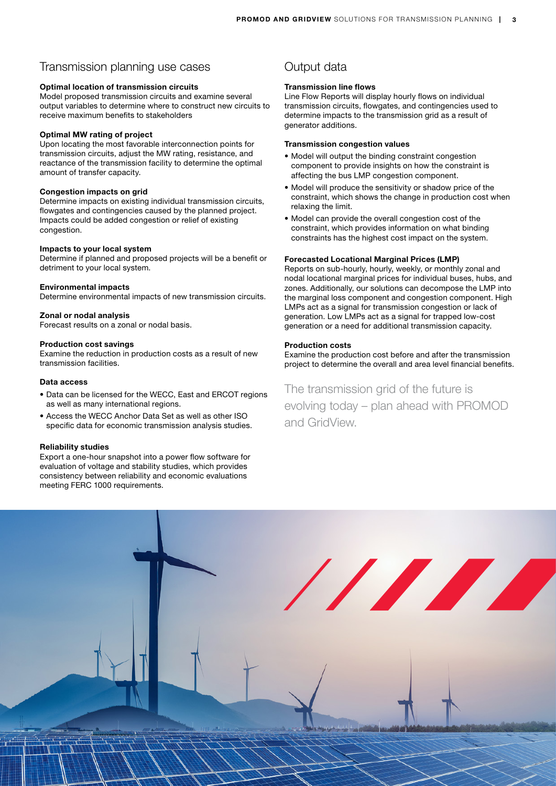## Transmission planning use cases

#### Optimal location of transmission circuits

Model proposed transmission circuits and examine several output variables to determine where to construct new circuits to receive maximum benefits to stakeholders

### Optimal MW rating of project

Upon locating the most favorable interconnection points for transmission circuits, adjust the MW rating, resistance, and reactance of the transmission facility to determine the optimal amount of transfer capacity.

#### Congestion impacts on grid

Determine impacts on existing individual transmission circuits, flowgates and contingencies caused by the planned project. Impacts could be added congestion or relief of existing congestion.

#### Impacts to your local system

Determine if planned and proposed projects will be a benefit or detriment to your local system.

#### Environmental impacts

Determine environmental impacts of new transmission circuits.

#### Zonal or nodal analysis

Forecast results on a zonal or nodal basis.

#### Production cost savings

Examine the reduction in production costs as a result of new transmission facilities.

#### Data access

- Data can be licensed for the WECC, East and ERCOT regions as well as many international regions.
- Access the WECC Anchor Data Set as well as other ISO specific data for economic transmission analysis studies.

#### Reliability studies

Export a one-hour snapshot into a power flow software for evaluation of voltage and stability studies, which provides consistency between reliability and economic evaluations meeting FERC 1000 requirements.

# Output data

#### Transmission line flows

Line Flow Reports will display hourly flows on individual transmission circuits, flowgates, and contingencies used to determine impacts to the transmission grid as a result of generator additions.

#### Transmission congestion values

- Model will output the binding constraint congestion component to provide insights on how the constraint is affecting the bus LMP congestion component.
- Model will produce the sensitivity or shadow price of the constraint, which shows the change in production cost when relaxing the limit.
- Model can provide the overall congestion cost of the constraint, which provides information on what binding constraints has the highest cost impact on the system.

#### Forecasted Locational Marginal Prices (LMP)

Reports on sub-hourly, hourly, weekly, or monthly zonal and nodal locational marginal prices for individual buses, hubs, and zones. Additionally, our solutions can decompose the LMP into the marginal loss component and congestion component. High LMPs act as a signal for transmission congestion or lack of generation. Low LMPs act as a signal for trapped low-cost generation or a need for additional transmission capacity.

#### Production costs

Examine the production cost before and after the transmission project to determine the overall and area level financial benefits.

# The transmission grid of the future is evolving today – plan ahead with PROMOD and GridView.